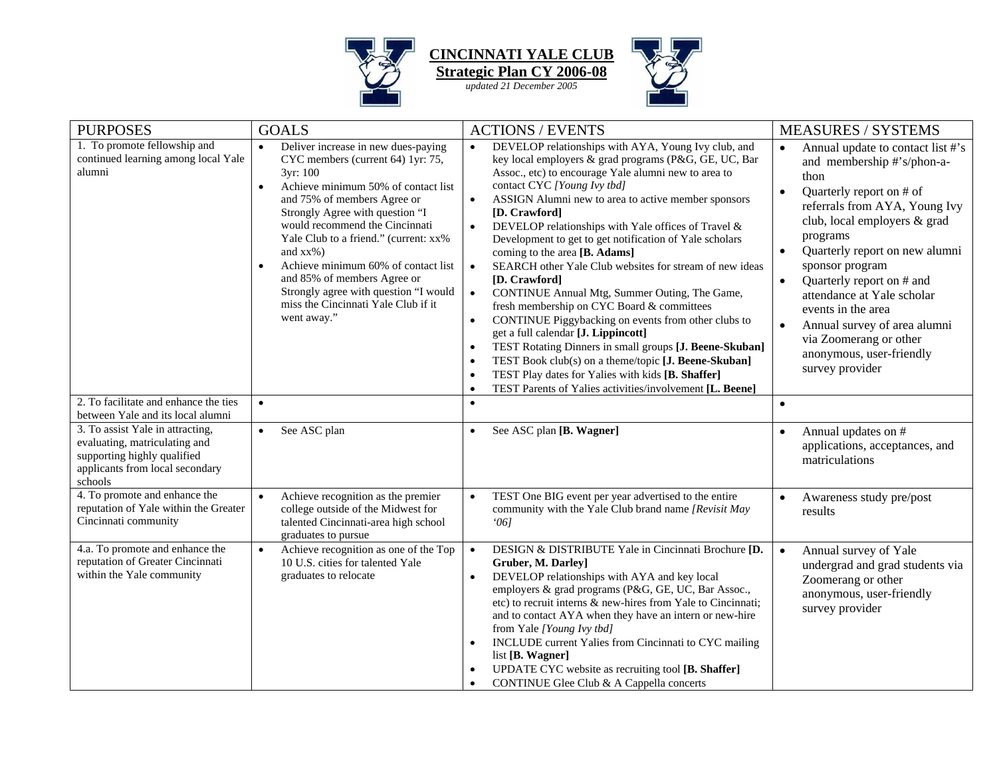

**CINCINNATI YALE CLUB Strategic Plan CY 2006-08**

*updated 21 December 2005*



| <b>PURPOSES</b>                                                                                                                                | <b>GOALS</b>                                                                                                                                                                                                                                                                                                                                                                                                                                                                             | <b>ACTIONS / EVENTS</b>                                                                                                                                                                                                                                                                                                                                                                                                                                                                                                                                                                                                                                                                                                                                                                                                                                                                                                                                                                                                                     | <b>MEASURES / SYSTEMS</b>                                                                                                                                                                                                                                                                                                                                                                                                                                                                        |
|------------------------------------------------------------------------------------------------------------------------------------------------|------------------------------------------------------------------------------------------------------------------------------------------------------------------------------------------------------------------------------------------------------------------------------------------------------------------------------------------------------------------------------------------------------------------------------------------------------------------------------------------|---------------------------------------------------------------------------------------------------------------------------------------------------------------------------------------------------------------------------------------------------------------------------------------------------------------------------------------------------------------------------------------------------------------------------------------------------------------------------------------------------------------------------------------------------------------------------------------------------------------------------------------------------------------------------------------------------------------------------------------------------------------------------------------------------------------------------------------------------------------------------------------------------------------------------------------------------------------------------------------------------------------------------------------------|--------------------------------------------------------------------------------------------------------------------------------------------------------------------------------------------------------------------------------------------------------------------------------------------------------------------------------------------------------------------------------------------------------------------------------------------------------------------------------------------------|
| 1. To promote fellowship and<br>continued learning among local Yale<br>alumni                                                                  | Deliver increase in new dues-paying<br>$\bullet$<br>CYC members (current 64) 1yr: 75,<br>3yr: 100<br>Achieve minimum 50% of contact list<br>$\bullet$<br>and 75% of members Agree or<br>Strongly Agree with question "I<br>would recommend the Cincinnati<br>Yale Club to a friend." (current: xx%)<br>and $xx\%$ )<br>Achieve minimum 60% of contact list<br>and 85% of members Agree or<br>Strongly agree with question "I would<br>miss the Cincinnati Yale Club if it<br>went away." | DEVELOP relationships with AYA, Young Ivy club, and<br>$\bullet$<br>key local employers & grad programs (P&G, GE, UC, Bar<br>Assoc., etc) to encourage Yale alumni new to area to<br>contact CYC [Young Ivy tbd]<br>ASSIGN Alumni new to area to active member sponsors<br>$\bullet$<br>[D. Crawford]<br>DEVELOP relationships with Yale offices of Travel &<br>$\bullet$<br>Development to get to get notification of Yale scholars<br>coming to the area [B. Adams]<br>SEARCH other Yale Club websites for stream of new ideas<br>$\bullet$<br>[D. Crawford]<br>CONTINUE Annual Mtg, Summer Outing, The Game,<br>$\bullet$<br>fresh membership on CYC Board & committees<br>CONTINUE Piggybacking on events from other clubs to<br>$\bullet$<br>get a full calendar [J. Lippincott]<br>TEST Rotating Dinners in small groups [J. Beene-Skuban]<br>TEST Book club(s) on a theme/topic [J. Beene-Skuban]<br>$\bullet$<br>TEST Play dates for Yalies with kids [B. Shaffer]<br>TEST Parents of Yalies activities/involvement [L. Beene]<br>٠ | Annual update to contact list #'s<br>$\bullet$<br>and membership #'s/phon-a-<br>thon<br>Quarterly report on # of<br>$\bullet$<br>referrals from AYA, Young Ivy<br>club, local employers & grad<br>programs<br>Quarterly report on new alumni<br>$\bullet$<br>sponsor program<br>Quarterly report on # and<br>$\bullet$<br>attendance at Yale scholar<br>events in the area<br>Annual survey of area alumni<br>$\bullet$<br>via Zoomerang or other<br>anonymous, user-friendly<br>survey provider |
| 2. To facilitate and enhance the ties<br>between Yale and its local alumni                                                                     | $\bullet$                                                                                                                                                                                                                                                                                                                                                                                                                                                                                | $\bullet$                                                                                                                                                                                                                                                                                                                                                                                                                                                                                                                                                                                                                                                                                                                                                                                                                                                                                                                                                                                                                                   | $\bullet$                                                                                                                                                                                                                                                                                                                                                                                                                                                                                        |
| 3. To assist Yale in attracting,<br>evaluating, matriculating and<br>supporting highly qualified<br>applicants from local secondary<br>schools | See ASC plan<br>$\bullet$                                                                                                                                                                                                                                                                                                                                                                                                                                                                | See ASC plan [B. Wagner]<br>$\bullet$                                                                                                                                                                                                                                                                                                                                                                                                                                                                                                                                                                                                                                                                                                                                                                                                                                                                                                                                                                                                       | Annual updates on #<br>applications, acceptances, and<br>matriculations                                                                                                                                                                                                                                                                                                                                                                                                                          |
| 4. To promote and enhance the<br>reputation of Yale within the Greater<br>Cincinnati community                                                 | Achieve recognition as the premier<br>$\bullet$<br>college outside of the Midwest for<br>talented Cincinnati-area high school<br>graduates to pursue                                                                                                                                                                                                                                                                                                                                     | TEST One BIG event per year advertised to the entire<br>$\bullet$<br>community with the Yale Club brand name [Revisit May<br>061                                                                                                                                                                                                                                                                                                                                                                                                                                                                                                                                                                                                                                                                                                                                                                                                                                                                                                            | $\bullet$<br>Awareness study pre/post<br>results                                                                                                                                                                                                                                                                                                                                                                                                                                                 |
| 4.a. To promote and enhance the<br>reputation of Greater Cincinnati<br>within the Yale community                                               | Achieve recognition as one of the Top<br>$\bullet$<br>10 U.S. cities for talented Yale<br>graduates to relocate                                                                                                                                                                                                                                                                                                                                                                          | DESIGN & DISTRIBUTE Yale in Cincinnati Brochure [D.<br>$\bullet$<br>Gruber, M. Darley]<br>DEVELOP relationships with AYA and key local<br>employers & grad programs (P&G, GE, UC, Bar Assoc.,<br>etc) to recruit interns & new-hires from Yale to Cincinnati:<br>and to contact AYA when they have an intern or new-hire<br>from Yale [Young Ivy tbd]<br>INCLUDE current Yalies from Cincinnati to CYC mailing<br>$\bullet$<br>list [B. Wagner]<br>UPDATE CYC website as recruiting tool [B. Shaffer]<br>CONTINUE Glee Club & A Cappella concerts<br>$\bullet$                                                                                                                                                                                                                                                                                                                                                                                                                                                                              | Annual survey of Yale<br>$\bullet$<br>undergrad and grad students via<br>Zoomerang or other<br>anonymous, user-friendly<br>survey provider                                                                                                                                                                                                                                                                                                                                                       |